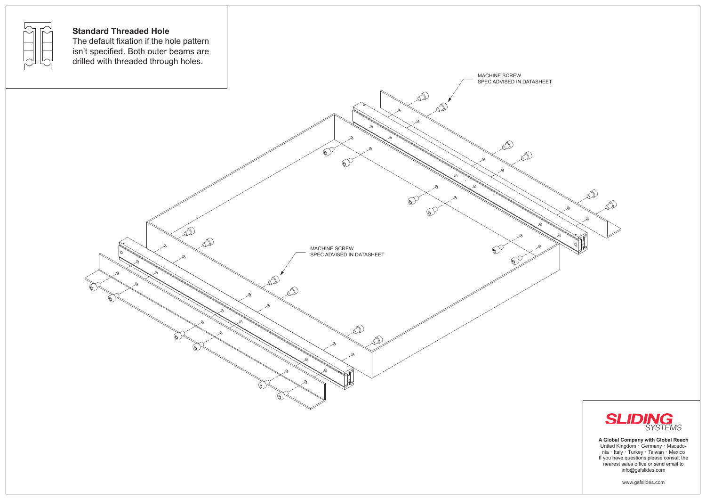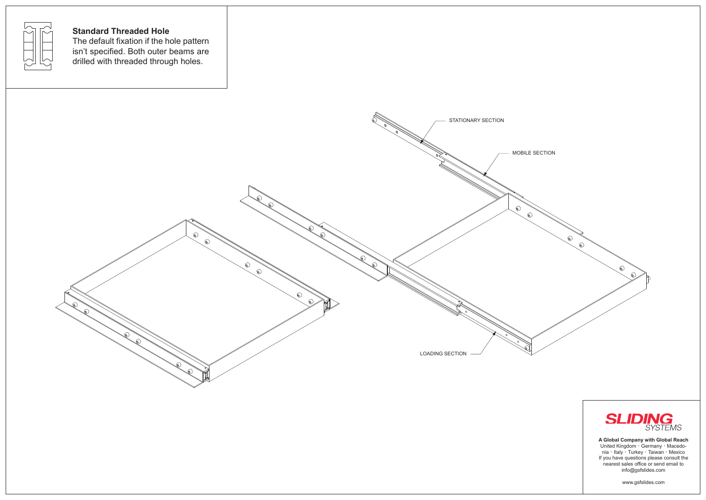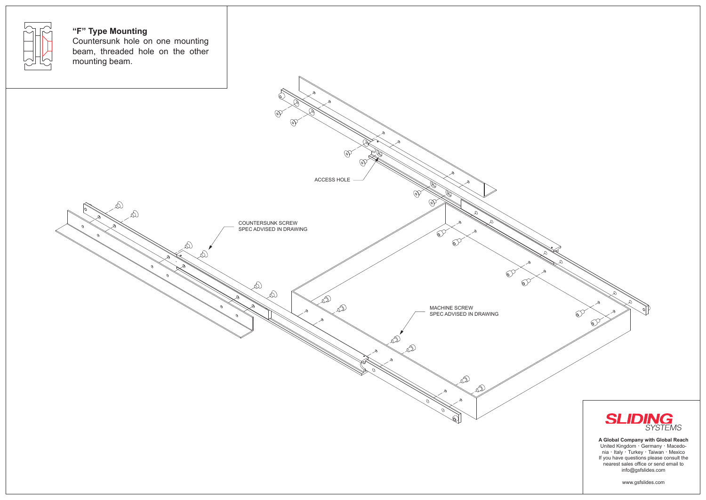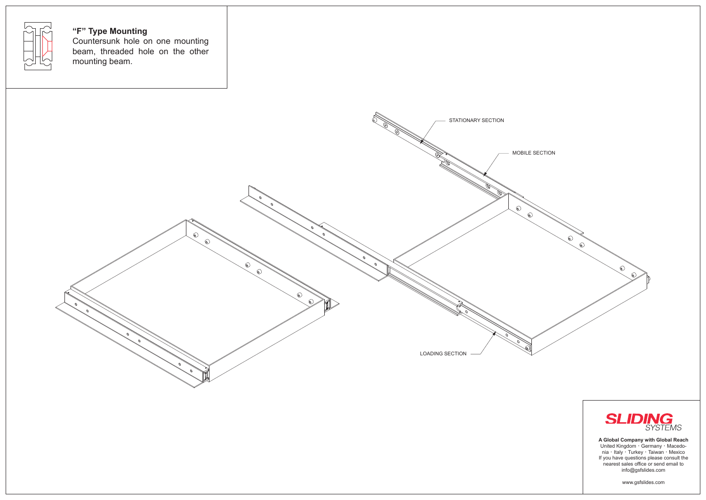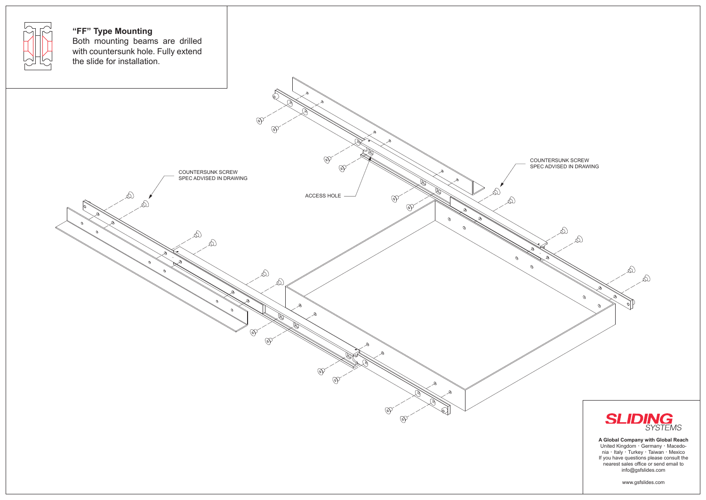